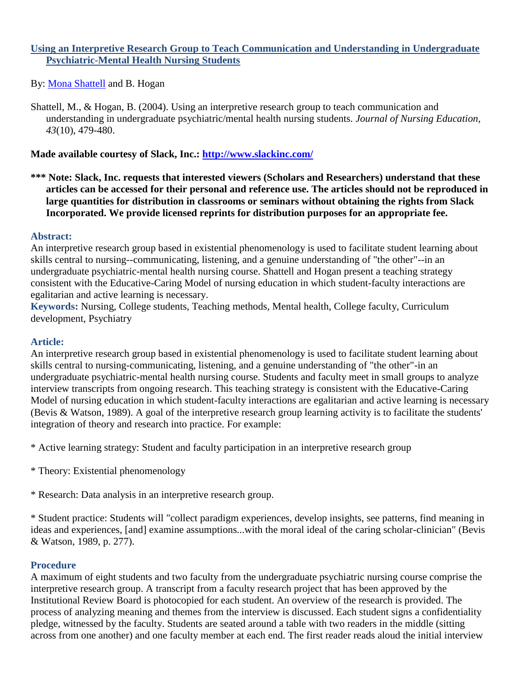# **Using an Interpretive Research Group to Teach Communication and Understanding in Undergraduate Psychiatric-Mental Health Nursing Students**

By: [Mona Shattell](http://libres.uncg.edu/ir/uncg/clist.aspx?id=1661) and B. Hogan

Shattell, M., & Hogan, B. (2004). Using an interpretive research group to teach communication and understanding in undergraduate psychiatric/mental health nursing students. *Journal of Nursing Education, 43*(10), 479-480.

## **Made available courtesy of Slack, Inc.:<http://www.slackinc.com/>**

**\*\*\* Note: Slack, Inc. requests that interested viewers (Scholars and Researchers) understand that these articles can be accessed for their personal and reference use. The articles should not be reproduced in large quantities for distribution in classrooms or seminars without obtaining the rights from Slack Incorporated. We provide licensed reprints for distribution purposes for an appropriate fee.**

## **Abstract:**

An interpretive research group based in existential phenomenology is used to facilitate student learning about skills central to nursing--communicating, listening, and a genuine understanding of "the other"--in an undergraduate psychiatric-mental health nursing course. Shattell and Hogan present a teaching strategy consistent with the Educative-Caring Model of nursing education in which student-faculty interactions are egalitarian and active learning is necessary.

**Keywords:** Nursing, College students, Teaching methods, Mental health, College faculty, Curriculum development, Psychiatry

# **Article:**

An interpretive research group based in existential phenomenology is used to facilitate student learning about skills central to nursing-communicating, listening, and a genuine understanding of "the other"-in an undergraduate psychiatric-mental health nursing course. Students and faculty meet in small groups to analyze interview transcripts from ongoing research. This teaching strategy is consistent with the Educative-Caring Model of nursing education in which student-faculty interactions are egalitarian and active learning is necessary (Bevis & Watson, 1989). A goal of the interpretive research group learning activity is to facilitate the students' integration of theory and research into practice. For example:

\* Active learning strategy: Student and faculty participation in an interpretive research group

- \* Theory: Existential phenomenology
- \* Research: Data analysis in an interpretive research group.

\* Student practice: Students will "collect paradigm experiences, develop insights, see patterns, find meaning in ideas and experiences, [and] examine assumptions...with the moral ideal of the caring scholar-clinician" (Bevis & Watson, 1989, p. 277).

#### **Procedure**

A maximum of eight students and two faculty from the undergraduate psychiatric nursing course comprise the interpretive research group. A transcript from a faculty research project that has been approved by the Institutional Review Board is photocopied for each student. An overview of the research is provided. The process of analyzing meaning and themes from the interview is discussed. Each student signs a confidentiality pledge, witnessed by the faculty. Students are seated around a table with two readers in the middle (sitting across from one another) and one faculty member at each end. The first reader reads aloud the initial interview